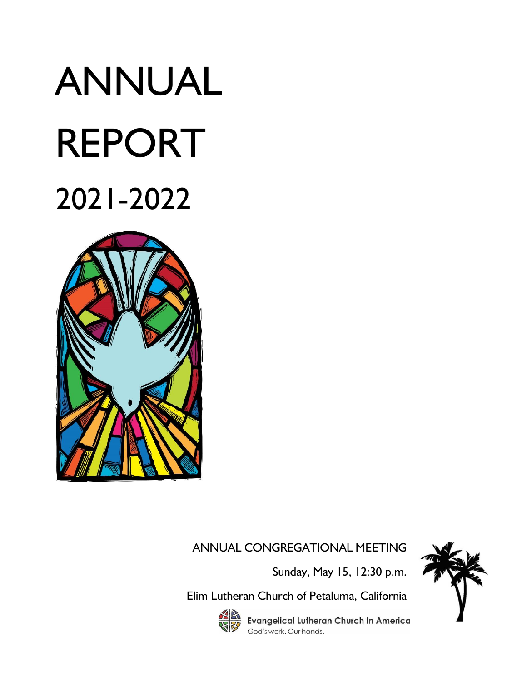# ANNUAL REPORT 2021-2022



#### ANNUAL CONGREGATIONAL MEETING

Sunday, May 15, 12:30 p.m.

Elim Lutheran Church of Petaluma, California



**Evangelical Lutheran Church in America** God's work. Our hands.

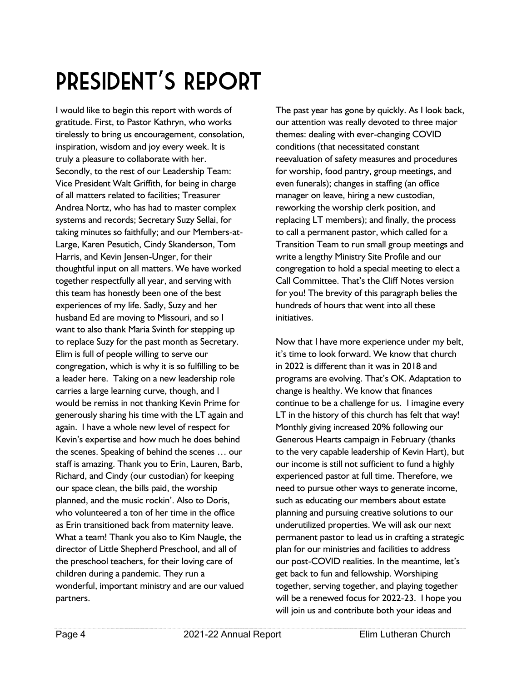# President's Report

I would like to begin this report with words of gratitude. First, to Pastor Kathryn, who works tirelessly to bring us encouragement, consolation, inspiration, wisdom and joy every week. It is truly a pleasure to collaborate with her. Secondly, to the rest of our Leadership Team: Vice President Walt Griffith, for being in charge of all matters related to facilities; Treasurer Andrea Nortz, who has had to master complex systems and records; Secretary Suzy Sellai, for taking minutes so faithfully; and our Members-at-Large, Karen Pesutich, Cindy Skanderson, Tom Harris, and Kevin Jensen-Unger, for their thoughtful input on all matters. We have worked together respectfully all year, and serving with this team has honestly been one of the best experiences of my life. Sadly, Suzy and her husband Ed are moving to Missouri, and so I want to also thank Maria Svinth for stepping up to replace Suzy for the past month as Secretary. Elim is full of people willing to serve our congregation, which is why it is so fulfilling to be a leader here. Taking on a new leadership role carries a large learning curve, though, and I would be remiss in not thanking Kevin Prime for generously sharing his time with the LT again and again. I have a whole new level of respect for Kevin's expertise and how much he does behind the scenes. Speaking of behind the scenes … our staff is amazing. Thank you to Erin, Lauren, Barb, Richard, and Cindy (our custodian) for keeping our space clean, the bills paid, the worship planned, and the music rockin'. Also to Doris, who volunteered a ton of her time in the office as Erin transitioned back from maternity leave. What a team! Thank you also to Kim Naugle, the director of Little Shepherd Preschool, and all of the preschool teachers, for their loving care of children during a pandemic. They run a wonderful, important ministry and are our valued partners.

The past year has gone by quickly. As I look back, our attention was really devoted to three major themes: dealing with ever-changing COVID conditions (that necessitated constant reevaluation of safety measures and procedures for worship, food pantry, group meetings, and even funerals); changes in staffing (an office manager on leave, hiring a new custodian, reworking the worship clerk position, and replacing LT members); and finally, the process to call a permanent pastor, which called for a Transition Team to run small group meetings and write a lengthy Ministry Site Profile and our congregation to hold a special meeting to elect a Call Committee. That's the Cliff Notes version for you! The brevity of this paragraph belies the hundreds of hours that went into all these initiatives.

Now that I have more experience under my belt, it's time to look forward. We know that church in 2022 is different than it was in 2018 and programs are evolving. That's OK. Adaptation to change is healthy. We know that finances continue to be a challenge for us. I imagine every LT in the history of this church has felt that way! Monthly giving increased 20% following our Generous Hearts campaign in February (thanks to the very capable leadership of Kevin Hart), but our income is still not sufficient to fund a highly experienced pastor at full time. Therefore, we need to pursue other ways to generate income, such as educating our members about estate planning and pursuing creative solutions to our underutilized properties. We will ask our next permanent pastor to lead us in crafting a strategic plan for our ministries and facilities to address our post-COVID realities. In the meantime, let's get back to fun and fellowship. Worshiping together, serving together, and playing together will be a renewed focus for 2022-23. I hope you will join us and contribute both your ideas and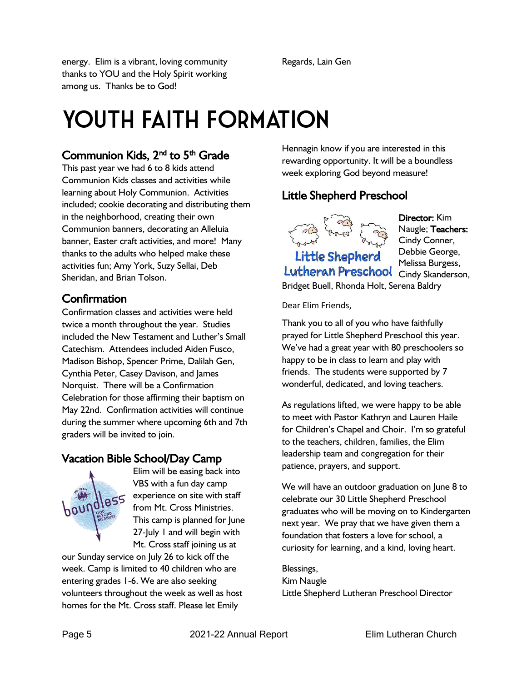energy. Elim is a vibrant, loving community thanks to YOU and the Holy Spirit working among us. Thanks be to God!

Regards, Lain Gen

### YOUTH FAITH FORMATION

#### Communion Kids, 2<sup>nd</sup> to 5<sup>th</sup> Grade

This past year we had 6 to 8 kids attend Communion Kids classes and activities while learning about Holy Communion. Activities included; cookie decorating and distributing them in the neighborhood, creating their own Communion banners, decorating an Alleluia banner, Easter craft activities, and more! Many thanks to the adults who helped make these activities fun; Amy York, Suzy Sellai, Deb Sheridan, and Brian Tolson.

#### Confirmation

Confirmation classes and activities were held twice a month throughout the year. Studies included the New Testament and Luther's Small Catechism. Attendees included Aiden Fusco, Madison Bishop, Spencer Prime, Dalilah Gen, Cynthia Peter, Casey Davison, and James Norquist. There will be a Confirmation Celebration for those affirming their baptism on May 22nd. Confirmation activities will continue during the summer where upcoming 6th and 7th graders will be invited to join.

#### Vacation Bible School/Day Camp



Elim will be easing back into VBS with a fun day camp experience on site with staff from Mt. Cross Ministries. This camp is planned for June 27-July I and will begin with Mt. Cross staff joining us at

our Sunday service on July 26 to kick off the week. Camp is limited to 40 children who are entering grades 1-6. We are also seeking volunteers throughout the week as well as host homes for the Mt. Cross staff. Please let Emily

Hennagin know if you are interested in this rewarding opportunity. It will be a boundless week exploring God beyond measure!

#### Little Shepherd Preschool



Little Shepherd Lutheran Preschool Cindy Skanderson,

Director: Kim Naugle; Teachers: Cindy Conner, Debbie George, Melissa Burgess, Bridget Buell, Rhonda Holt, Serena Baldry

Dear Elim Friends,

Thank you to all of you who have faithfully prayed for Little Shepherd Preschool this year. We've had a great year with 80 preschoolers so happy to be in class to learn and play with friends. The students were supported by 7 wonderful, dedicated, and loving teachers.

As regulations lifted, we were happy to be able to meet with Pastor Kathryn and Lauren Haile for Children's Chapel and Choir. I'm so grateful to the teachers, children, families, the Elim leadership team and congregation for their patience, prayers, and support.

We will have an outdoor graduation on June 8 to celebrate our 30 Little Shepherd Preschool graduates who will be moving on to Kindergarten next year. We pray that we have given them a foundation that fosters a love for school, a curiosity for learning, and a kind, loving heart.

Blessings,

Kim Naugle Little Shepherd Lutheran Preschool Director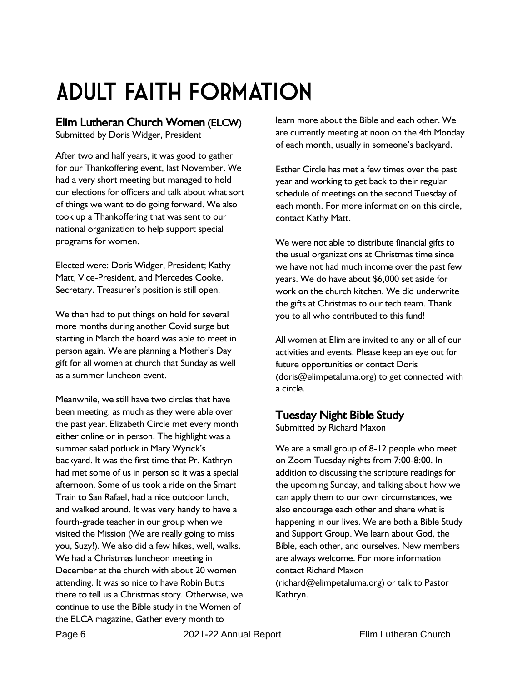# Adult Faith Formation

#### Elim Lutheran Church Women (ELCW)

Submitted by Doris Widger, President

After two and half years, it was good to gather for our Thankoffering event, last November. We had a very short meeting but managed to hold our elections for officers and talk about what sort of things we want to do going forward. We also took up a Thankoffering that was sent to our national organization to help support special programs for women.

Elected were: Doris Widger, President; Kathy Matt, Vice-President, and Mercedes Cooke, Secretary. Treasurer's position is still open.

We then had to put things on hold for several more months during another Covid surge but starting in March the board was able to meet in person again. We are planning a Mother's Day gift for all women at church that Sunday as well as a summer luncheon event.

Meanwhile, we still have two circles that have been meeting, as much as they were able over the past year. Elizabeth Circle met every month either online or in person. The highlight was a summer salad potluck in Mary Wyrick's backyard. It was the first time that Pr. Kathryn had met some of us in person so it was a special afternoon. Some of us took a ride on the Smart Train to San Rafael, had a nice outdoor lunch, and walked around. It was very handy to have a fourth-grade teacher in our group when we visited the Mission (We are really going to miss you, Suzy!). We also did a few hikes, well, walks. We had a Christmas luncheon meeting in December at the church with about 20 women attending. It was so nice to have Robin Butts there to tell us a Christmas story. Otherwise, we continue to use the Bible study in the Women of the ELCA magazine, Gather every month to

learn more about the Bible and each other. We are currently meeting at noon on the 4th Monday of each month, usually in someone's backyard.

Esther Circle has met a few times over the past year and working to get back to their regular schedule of meetings on the second Tuesday of each month. For more information on this circle, contact Kathy Matt.

We were not able to distribute financial gifts to the usual organizations at Christmas time since we have not had much income over the past few years. We do have about \$6,000 set aside for work on the church kitchen. We did underwrite the gifts at Christmas to our tech team. Thank you to all who contributed to this fund!

All women at Elim are invited to any or all of our activities and events. Please keep an eye out for future opportunities or contact Doris (doris@elimpetaluma.org) to get connected with a circle.

#### Tuesday Night Bible Study

Submitted by Richard Maxon

We are a small group of 8-12 people who meet on Zoom Tuesday nights from 7:00-8:00. In addition to discussing the scripture readings for the upcoming Sunday, and talking about how we can apply them to our own circumstances, we also encourage each other and share what is happening in our lives. We are both a Bible Study and Support Group. We learn about God, the Bible, each other, and ourselves. New members are always welcome. For more information contact Richard Maxon (richard@elimpetaluma.org) or talk to Pastor Kathryn.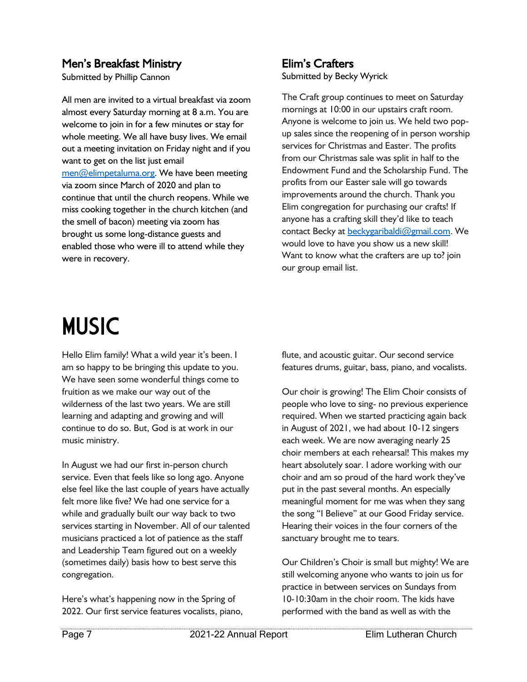#### Men's Breakfast Ministry

Submitted by Phillip Cannon

All men are invited to a virtual breakfast via zoom almost every Saturday morning at 8 a.m. You are welcome to join in for a few minutes or stay for whole meeting. We all have busy lives. We email out a meeting invitation on Friday night and if you want to get on the list just email [men@elimpetaluma.org.](mailto:men@elimpetaluma.org) We have been meeting via zoom since March of 2020 and plan to continue that until the church reopens. While we miss cooking together in the church kitchen (and the smell of bacon) meeting via zoom has brought us some long-distance guests and enabled those who were ill to attend while they were in recovery.

#### Elim's Crafters

Submitted by Becky Wyrick

The Craft group continues to meet on Saturday mornings at 10:00 in our upstairs craft room. Anyone is welcome to join us. We held two popup sales since the reopening of in person worship services for Christmas and Easter. The profits from our Christmas sale was split in half to the Endowment Fund and the Scholarship Fund. The profits from our Easter sale will go towards improvements around the church. Thank you Elim congregation for purchasing our crafts! If anyone has a crafting skill they'd like to teach contact Becky at [beckygaribaldi@gmail.com.](mailto:beckygaribaldi@gmail.com) We would love to have you show us a new skill! Want to know what the crafters are up to? join our group email list.

### **MUSIC**

Hello Elim family! What a wild year it's been. I am so happy to be bringing this update to you. We have seen some wonderful things come to fruition as we make our way out of the wilderness of the last two years. We are still learning and adapting and growing and will continue to do so. But, God is at work in our music ministry.

In August we had our first in-person church service. Even that feels like so long ago. Anyone else feel like the last couple of years have actually felt more like five? We had one service for a while and gradually built our way back to two services starting in November. All of our talented musicians practiced a lot of patience as the staff and Leadership Team figured out on a weekly (sometimes daily) basis how to best serve this congregation.

Here's what's happening now in the Spring of 2022. Our first service features vocalists, piano, flute, and acoustic guitar. Our second service features drums, guitar, bass, piano, and vocalists.

Our choir is growing! The Elim Choir consists of people who love to sing- no previous experience required. When we started practicing again back in August of 2021, we had about 10-12 singers each week. We are now averaging nearly 25 choir members at each rehearsal! This makes my heart absolutely soar. I adore working with our choir and am so proud of the hard work they've put in the past several months. An especially meaningful moment for me was when they sang the song "I Believe" at our Good Friday service. Hearing their voices in the four corners of the sanctuary brought me to tears.

Our Children's Choir is small but mighty! We are still welcoming anyone who wants to join us for practice in between services on Sundays from 10-10:30am in the choir room. The kids have performed with the band as well as with the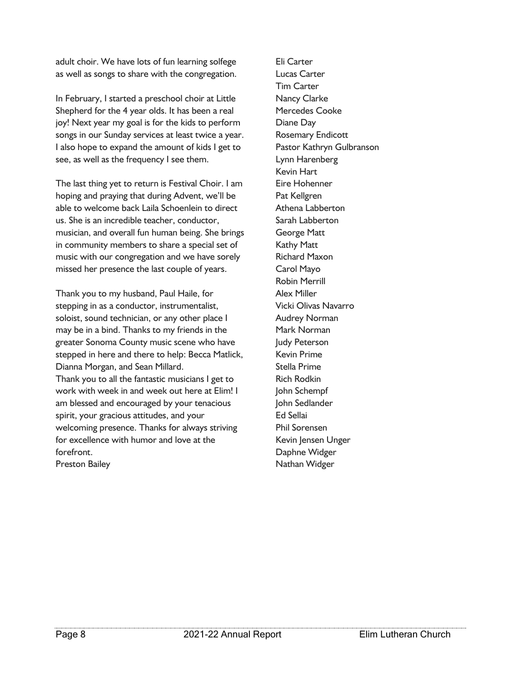adult choir. We have lots of fun learning solfege as well as songs to share with the congregation.

In February, I started a preschool choir at Little Shepherd for the 4 year olds. It has been a real joy! Next year my goal is for the kids to perform songs in our Sunday services at least twice a year. I also hope to expand the amount of kids I get to see, as well as the frequency I see them.

The last thing yet to return is Festival Choir. I am hoping and praying that during Advent, we'll be able to welcome back Laila Schoenlein to direct us. She is an incredible teacher, conductor, musician, and overall fun human being. She brings in community members to share a special set of music with our congregation and we have sorely missed her presence the last couple of years.

Thank you to my husband, Paul Haile, for stepping in as a conductor, instrumentalist, soloist, sound technician, or any other place I may be in a bind. Thanks to my friends in the greater Sonoma County music scene who have stepped in here and there to help: Becca Matlick, Dianna Morgan, and Sean Millard. Thank you to all the fantastic musicians I get to work with week in and week out here at Elim! I am blessed and encouraged by your tenacious spirit, your gracious attitudes, and your welcoming presence. Thanks for always striving for excellence with humor and love at the forefront. Preston Bailey

Eli Carter Lucas Carter Tim Carter Nancy Clarke Mercedes Cooke Diane Day Rosemary Endicott Pastor Kathryn Gulbranson Lynn Harenberg Kevin Hart Eire Hohenner Pat Kellgren Athena Labberton Sarah Labberton George Matt Kathy Matt Richard Maxon Carol Mayo Robin Merrill Alex Miller Vicki Olivas Navarro Audrey Norman Mark Norman Judy Peterson Kevin Prime Stella Prime Rich Rodkin John Schempf John Sedlander Ed Sellai Phil Sorensen Kevin Jensen Unger Daphne Widger Nathan Widger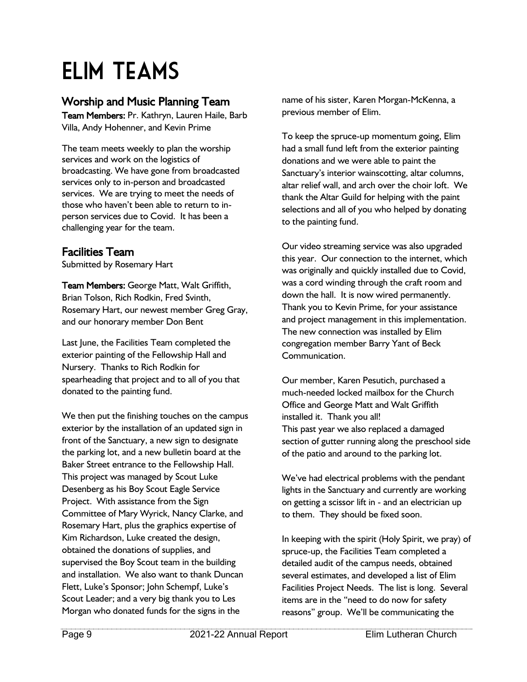### Elim Teams

#### Worship and Music Planning Team

Team Members: Pr. Kathryn, Lauren Haile, Barb Villa, Andy Hohenner, and Kevin Prime

The team meets weekly to plan the worship services and work on the logistics of broadcasting. We have gone from broadcasted services only to in-person and broadcasted services. We are trying to meet the needs of those who haven't been able to return to inperson services due to Covid. It has been a challenging year for the team.

#### Facilities Team

Submitted by Rosemary Hart

Team Members: George Matt, Walt Griffith, Brian Tolson, Rich Rodkin, Fred Svinth, Rosemary Hart, our newest member Greg Gray, and our honorary member Don Bent

Last June, the Facilities Team completed the exterior painting of the Fellowship Hall and Nursery. Thanks to Rich Rodkin for spearheading that project and to all of you that donated to the painting fund.

We then put the finishing touches on the campus exterior by the installation of an updated sign in front of the Sanctuary, a new sign to designate the parking lot, and a new bulletin board at the Baker Street entrance to the Fellowship Hall. This project was managed by Scout Luke Desenberg as his Boy Scout Eagle Service Project. With assistance from the Sign Committee of Mary Wyrick, Nancy Clarke, and Rosemary Hart, plus the graphics expertise of Kim Richardson, Luke created the design, obtained the donations of supplies, and supervised the Boy Scout team in the building and installation. We also want to thank Duncan Flett, Luke's Sponsor; John Schempf, Luke's Scout Leader; and a very big thank you to Les Morgan who donated funds for the signs in the

name of his sister, Karen Morgan-McKenna, a previous member of Elim.

To keep the spruce-up momentum going, Elim had a small fund left from the exterior painting donations and we were able to paint the Sanctuary's interior wainscotting, altar columns, altar relief wall, and arch over the choir loft. We thank the Altar Guild for helping with the paint selections and all of you who helped by donating to the painting fund.

Our video streaming service was also upgraded this year. Our connection to the internet, which was originally and quickly installed due to Covid, was a cord winding through the craft room and down the hall. It is now wired permanently. Thank you to Kevin Prime, for your assistance and project management in this implementation. The new connection was installed by Elim congregation member Barry Yant of Beck Communication.

Our member, Karen Pesutich, purchased a much-needed locked mailbox for the Church Office and George Matt and Walt Griffith installed it. Thank you all! This past year we also replaced a damaged section of gutter running along the preschool side of the patio and around to the parking lot.

We've had electrical problems with the pendant lights in the Sanctuary and currently are working on getting a scissor lift in - and an electrician up to them. They should be fixed soon.

In keeping with the spirit (Holy Spirit, we pray) of spruce-up, the Facilities Team completed a detailed audit of the campus needs, obtained several estimates, and developed a list of Elim Facilities Project Needs. The list is long. Several items are in the "need to do now for safety reasons" group. We'll be communicating the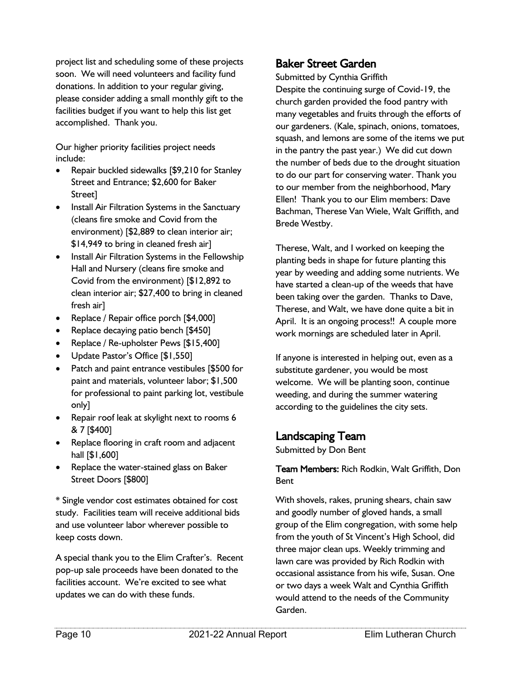project list and scheduling some of these projects soon. We will need volunteers and facility fund donations. In addition to your regular giving, please consider adding a small monthly gift to the facilities budget if you want to help this list get accomplished. Thank you.

Our higher priority facilities project needs include:

- Repair buckled sidewalks [\$9,210 for Stanley Street and Entrance; \$2,600 for Baker Street]
- Install Air Filtration Systems in the Sanctuary (cleans fire smoke and Covid from the environment) [\$2,889 to clean interior air; \$14,949 to bring in cleaned fresh air]
- Install Air Filtration Systems in the Fellowship Hall and Nursery (cleans fire smoke and Covid from the environment) [\$12,892 to clean interior air; \$27,400 to bring in cleaned fresh air]
- Replace / Repair office porch [\$4,000]
- Replace decaying patio bench [\$450]
- Replace / Re-upholster Pews [\$15,400]
- Update Pastor's Office [\$1,550]
- Patch and paint entrance vestibules [\$500 for paint and materials, volunteer labor; \$1,500 for professional to paint parking lot, vestibule only]
- Repair roof leak at skylight next to rooms 6 & 7 [\$400]
- Replace flooring in craft room and adjacent hall [\$1,600]
- Replace the water-stained glass on Baker Street Doors [\$800]

\* Single vendor cost estimates obtained for cost study. Facilities team will receive additional bids and use volunteer labor wherever possible to keep costs down.

A special thank you to the Elim Crafter's. Recent pop-up sale proceeds have been donated to the facilities account. We're excited to see what updates we can do with these funds.

#### Baker Street Garden

Submitted by Cynthia Griffith Despite the continuing surge of Covid-19, the church garden provided the food pantry with many vegetables and fruits through the efforts of our gardeners. (Kale, spinach, onions, tomatoes, squash, and lemons are some of the items we put in the pantry the past year.) We did cut down the number of beds due to the drought situation to do our part for conserving water. Thank you to our member from the neighborhood, Mary Ellen! Thank you to our Elim members: Dave Bachman, Therese Van Wiele, Walt Griffith, and Brede Westby.

Therese, Walt, and I worked on keeping the planting beds in shape for future planting this year by weeding and adding some nutrients. We have started a clean-up of the weeds that have been taking over the garden. Thanks to Dave, Therese, and Walt, we have done quite a bit in April. It is an ongoing process!! A couple more work mornings are scheduled later in April.

If anyone is interested in helping out, even as a substitute gardener, you would be most welcome. We will be planting soon, continue weeding, and during the summer watering according to the guidelines the city sets.

#### Landscaping Team

Submitted by Don Bent

#### Team Members: Rich Rodkin, Walt Griffith, Don Bent

With shovels, rakes, pruning shears, chain saw and goodly number of gloved hands, a small group of the Elim congregation, with some help from the youth of St Vincent's High School, did three major clean ups. Weekly trimming and lawn care was provided by Rich Rodkin with occasional assistance from his wife, Susan. One or two days a week Walt and Cynthia Griffith would attend to the needs of the Community Garden.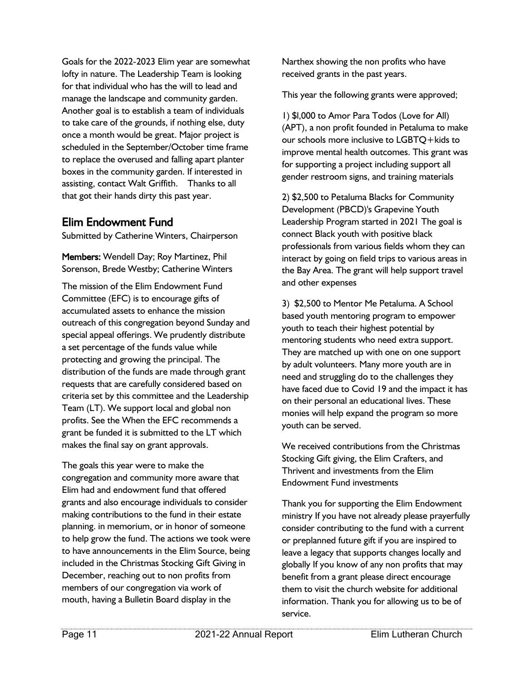Goals for the 2022-2023 Elim year are somewhat lofty in nature. The Leadership Team is looking for that individual who has the will to lead and manage the landscape and community garden. Another goal is to establish a team of individuals to take care of the grounds, if nothing else, duty once a month would be great. Major project is scheduled in the September/October time frame to replace the overused and falling apart planter boxes in the community garden. If interested in assisting, contact Walt Griffith. Thanks to all that got their hands dirty this past year.

#### Elim Endowment Fund

Submitted by Catherine Winters, Chairperson

Members: Wendell Day; Roy Martinez, Phil Sorenson, Brede Westby; Catherine Winters

The mission of the Elim Endowment Fund Committee (EFC) is to encourage gifts of accumulated assets to enhance the mission outreach of this congregation beyond Sunday and special appeal offerings. We prudently distribute a set percentage of the funds value while protecting and growing the principal. The distribution of the funds are made through grant requests that are carefully considered based on criteria set by this committee and the Leadership Team (LT). We support local and global non profits. See the When the EFC recommends a grant be funded it is submitted to the LT which makes the final say on grant approvals.

The goals this year were to make the congregation and community more aware that Elim had and endowment fund that offered grants and also encourage individuals to consider making contributions to the fund in their estate planning. in memorium, or in honor of someone to help grow the fund. The actions we took were to have announcements in the Elim Source, being included in the Christmas Stocking Gift Giving in December, reaching out to non profits from members of our congregation via work of mouth, having a Bulletin Board display in the

Narthex showing the non profits who have received grants in the past years.

This year the following grants were approved;

1) \$l,000 to Amor Para Todos (Love for All) (APT), a non profit founded in Petaluma to make our schools more inclusive to LGBTQ+kids to improve mental health outcomes. This grant was for supporting a project including support all gender restroom signs, and training materials

2) \$2,500 to Petaluma Blacks for Community Development (PBCD)'s Grapevine Youth Leadership Program started in 2021 The goal is connect Black youth with positive black professionals from various fields whom they can interact by going on field trips to various areas in the Bay Area. The grant will help support travel and other expenses

3) \$2,500 to Mentor Me Petaluma. A School based youth mentoring program to empower youth to teach their highest potential by mentoring students who need extra support. They are matched up with one on one support by adult volunteers. Many more youth are in need and struggling do to the challenges they have faced due to Covid 19 and the impact it has on their personal an educational lives. These monies will help expand the program so more youth can be served.

We received contributions from the Christmas Stocking Gift giving, the Elim Crafters, and Thrivent and investments from the Elim Endowment Fund investments

Thank you for supporting the Elim Endowment ministry If you have not already please prayerfully consider contributing to the fund with a current or preplanned future gift if you are inspired to leave a legacy that supports changes locally and globally If you know of any non profits that may benefit from a grant please direct encourage them to visit the church website for additional information. Thank you for allowing us to be of service.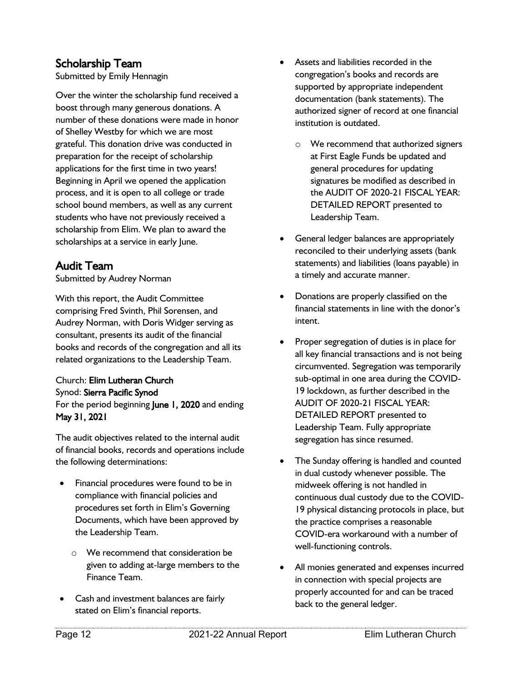#### Scholarship Team

Submitted by Emily Hennagin

Over the winter the scholarship fund received a boost through many generous donations. A number of these donations were made in honor of Shelley Westby for which we are most grateful. This donation drive was conducted in preparation for the receipt of scholarship applications for the first time in two years! Beginning in April we opened the application process, and it is open to all college or trade school bound members, as well as any current students who have not previously received a scholarship from Elim. We plan to award the scholarships at a service in early June.

#### Audit Team

Submitted by Audrey Norman

With this report, the Audit Committee comprising Fred Svinth, Phil Sorensen, and Audrey Norman, with Doris Widger serving as consultant, presents its audit of the financial books and records of the congregation and all its related organizations to the Leadership Team.

#### Church: Elim Lutheran Church Synod: Sierra Pacific Synod For the period beginning June 1, 2020 and ending May 31, 2021

The audit objectives related to the internal audit of financial books, records and operations include the following determinations:

- Financial procedures were found to be in compliance with financial policies and procedures set forth in Elim's Governing Documents, which have been approved by the Leadership Team.
	- o We recommend that consideration be given to adding at-large members to the Finance Team.
- Cash and investment balances are fairly stated on Elim's financial reports.
- Assets and liabilities recorded in the congregation's books and records are supported by appropriate independent documentation (bank statements). The authorized signer of record at one financial institution is outdated.
	- o We recommend that authorized signers at First Eagle Funds be updated and general procedures for updating signatures be modified as described in the AUDIT OF 2020-21 FISCAL YEAR: DETAILED REPORT presented to Leadership Team.
- General ledger balances are appropriately reconciled to their underlying assets (bank statements) and liabilities (loans payable) in a timely and accurate manner.
- Donations are properly classified on the financial statements in line with the donor's intent.
- Proper segregation of duties is in place for all key financial transactions and is not being circumvented. Segregation was temporarily sub-optimal in one area during the COVID-19 lockdown, as further described in the AUDIT OF 2020-21 FISCAL YEAR: DETAILED REPORT presented to Leadership Team. Fully appropriate segregation has since resumed.
- The Sunday offering is handled and counted in dual custody whenever possible. The midweek offering is not handled in continuous dual custody due to the COVID-19 physical distancing protocols in place, but the practice comprises a reasonable COVID-era workaround with a number of well-functioning controls.
- All monies generated and expenses incurred in connection with special projects are properly accounted for and can be traced back to the general ledger.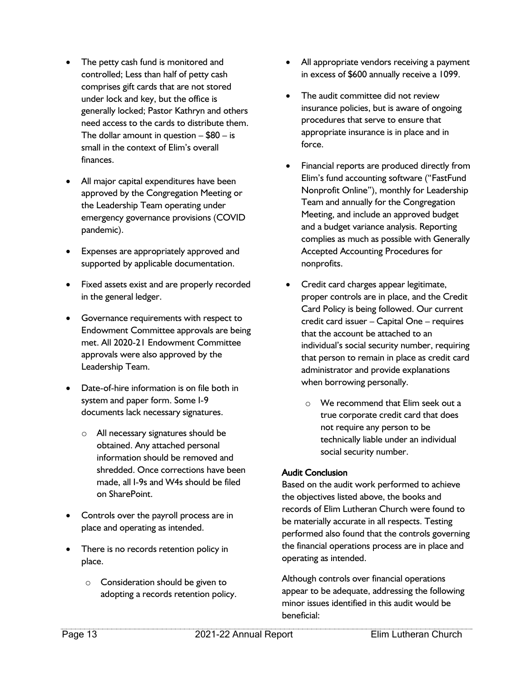- The petty cash fund is monitored and controlled; Less than half of petty cash comprises gift cards that are not stored under lock and key, but the office is generally locked; Pastor Kathryn and others need access to the cards to distribute them. The dollar amount in question  $-$  \$80  $-$  is small in the context of Elim's overall finances.
- All major capital expenditures have been approved by the Congregation Meeting or the Leadership Team operating under emergency governance provisions (COVID pandemic).
- Expenses are appropriately approved and supported by applicable documentation.
- Fixed assets exist and are properly recorded in the general ledger.
- Governance requirements with respect to Endowment Committee approvals are being met. All 2020-21 Endowment Committee approvals were also approved by the Leadership Team.
- Date-of-hire information is on file both in system and paper form. Some I-9 documents lack necessary signatures.
	- o All necessary signatures should be obtained. Any attached personal information should be removed and shredded. Once corrections have been made, all I-9s and W4s should be filed on SharePoint.
- Controls over the payroll process are in place and operating as intended.
- There is no records retention policy in place.
	- o Consideration should be given to adopting a records retention policy.
- All appropriate vendors receiving a payment in excess of \$600 annually receive a 1099.
- The audit committee did not review insurance policies, but is aware of ongoing procedures that serve to ensure that appropriate insurance is in place and in force.
- Financial reports are produced directly from Elim's fund accounting software ("FastFund Nonprofit Online"), monthly for Leadership Team and annually for the Congregation Meeting, and include an approved budget and a budget variance analysis. Reporting complies as much as possible with Generally Accepted Accounting Procedures for nonprofits.
- Credit card charges appear legitimate, proper controls are in place, and the Credit Card Policy is being followed. Our current credit card issuer – Capital One – requires that the account be attached to an individual's social security number, requiring that person to remain in place as credit card administrator and provide explanations when borrowing personally.
	- o We recommend that Elim seek out a true corporate credit card that does not require any person to be technically liable under an individual social security number.

#### Audit Conclusion

Based on the audit work performed to achieve the objectives listed above, the books and records of Elim Lutheran Church were found to be materially accurate in all respects. Testing performed also found that the controls governing the financial operations process are in place and operating as intended.

Although controls over financial operations appear to be adequate, addressing the following minor issues identified in this audit would be beneficial: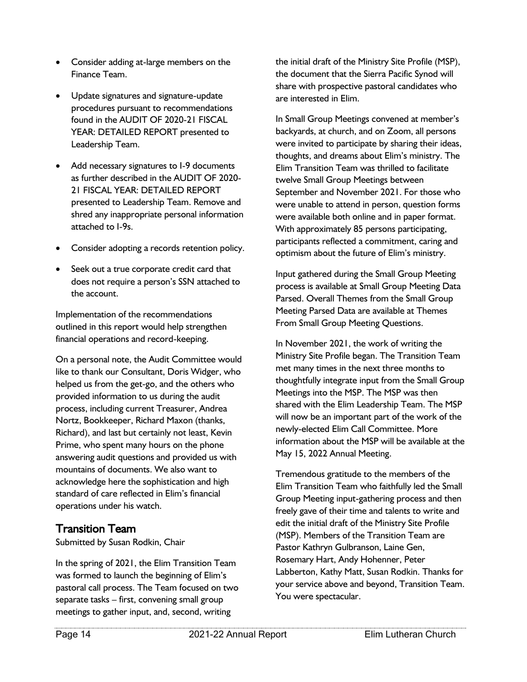- Consider adding at-large members on the Finance Team.
- Update signatures and signature-update procedures pursuant to recommendations found in the AUDIT OF 2020-21 FISCAL YEAR: DETAILED REPORT presented to Leadership Team.
- Add necessary signatures to I-9 documents as further described in the AUDIT OF 2020- 21 FISCAL YEAR: DETAILED REPORT presented to Leadership Team. Remove and shred any inappropriate personal information attached to I-9s.
- Consider adopting a records retention policy.
- Seek out a true corporate credit card that does not require a person's SSN attached to the account.

Implementation of the recommendations outlined in this report would help strengthen financial operations and record-keeping.

On a personal note, the Audit Committee would like to thank our Consultant, Doris Widger, who helped us from the get-go, and the others who provided information to us during the audit process, including current Treasurer, Andrea Nortz, Bookkeeper, Richard Maxon (thanks, Richard), and last but certainly not least, Kevin Prime, who spent many hours on the phone answering audit questions and provided us with mountains of documents. We also want to acknowledge here the sophistication and high standard of care reflected in Elim's financial operations under his watch.

#### Transition Team

Submitted by Susan Rodkin, Chair

In the spring of 2021, the Elim Transition Team was formed to launch the beginning of Elim's pastoral call process. The Team focused on two separate tasks – first, convening small group meetings to gather input, and, second, writing

the initial draft of the Ministry Site Profile (MSP), the document that the Sierra Pacific Synod will share with prospective pastoral candidates who are interested in Elim.

In Small Group Meetings convened at member's backyards, at church, and on Zoom, all persons were invited to participate by sharing their ideas, thoughts, and dreams about Elim's ministry. The Elim Transition Team was thrilled to facilitate twelve Small Group Meetings between September and November 2021. For those who were unable to attend in person, question forms were available both online and in paper format. With approximately 85 persons participating, participants reflected a commitment, caring and optimism about the future of Elim's ministry.

Input gathered during the Small Group Meeting process is available at Small Group Meeting Data Parsed. Overall Themes from the Small Group Meeting Parsed Data are available at Themes From Small Group Meeting Questions.

In November 2021, the work of writing the Ministry Site Profile began. The Transition Team met many times in the next three months to thoughtfully integrate input from the Small Group Meetings into the MSP. The MSP was then shared with the Elim Leadership Team. The MSP will now be an important part of the work of the newly-elected Elim Call Committee. More information about the MSP will be available at the May 15, 2022 Annual Meeting.

Tremendous gratitude to the members of the Elim Transition Team who faithfully led the Small Group Meeting input-gathering process and then freely gave of their time and talents to write and edit the initial draft of the Ministry Site Profile (MSP). Members of the Transition Team are Pastor Kathryn Gulbranson, Laine Gen, Rosemary Hart, Andy Hohenner, Peter Labberton, Kathy Matt, Susan Rodkin. Thanks for your service above and beyond, Transition Team. You were spectacular.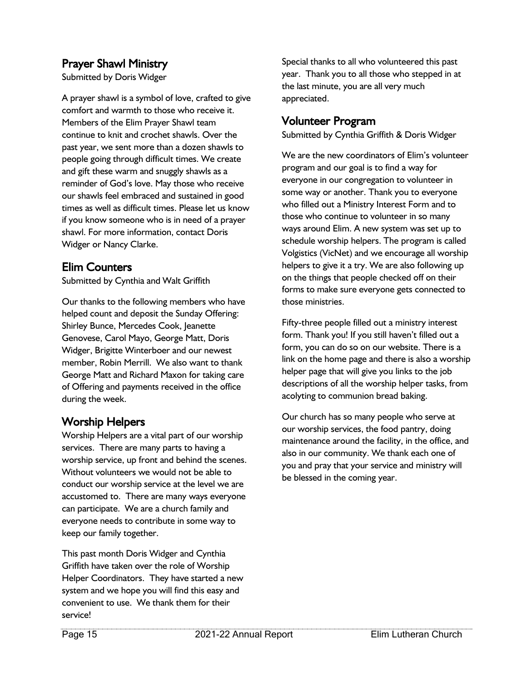#### Prayer Shawl Ministry

Submitted by Doris Widger

A prayer shawl is a symbol of love, crafted to give comfort and warmth to those who receive it. Members of the Elim Prayer Shawl team continue to knit and crochet shawls. Over the past year, we sent more than a dozen shawls to people going through difficult times. We create and gift these warm and snuggly shawls as a reminder of God's love. May those who receive our shawls feel embraced and sustained in good times as well as difficult times. Please let us know if you know someone who is in need of a prayer shawl. For more information, contact Doris Widger or Nancy Clarke.

#### Elim Counters

Submitted by Cynthia and Walt Griffith

Our thanks to the following members who have helped count and deposit the Sunday Offering: Shirley Bunce, Mercedes Cook, Jeanette Genovese, Carol Mayo, George Matt, Doris Widger, Brigitte Winterboer and our newest member, Robin Merrill. We also want to thank George Matt and Richard Maxon for taking care of Offering and payments received in the office during the week.

#### Worship Helpers

Worship Helpers are a vital part of our worship services. There are many parts to having a worship service, up front and behind the scenes. Without volunteers we would not be able to conduct our worship service at the level we are accustomed to. There are many ways everyone can participate. We are a church family and everyone needs to contribute in some way to keep our family together.

This past month Doris Widger and Cynthia Griffith have taken over the role of Worship Helper Coordinators. They have started a new system and we hope you will find this easy and convenient to use. We thank them for their service!

Special thanks to all who volunteered this past year. Thank you to all those who stepped in at the last minute, you are all very much appreciated.

#### Volunteer Program

Submitted by Cynthia Griffith & Doris Widger

We are the new coordinators of Elim's volunteer program and our goal is to find a way for everyone in our congregation to volunteer in some way or another. Thank you to everyone who filled out a Ministry Interest Form and to those who continue to volunteer in so many ways around Elim. A new system was set up to schedule worship helpers. The program is called Volgistics (VicNet) and we encourage all worship helpers to give it a try. We are also following up on the things that people checked off on their forms to make sure everyone gets connected to those ministries.

Fifty-three people filled out a ministry interest form. Thank you! If you still haven't filled out a form, you can do so on our website. There is a link on the home page and there is also a worship helper page that will give you links to the job descriptions of all the worship helper tasks, from acolyting to communion bread baking.

Our church has so many people who serve at our worship services, the food pantry, doing maintenance around the facility, in the office, and also in our community. We thank each one of you and pray that your service and ministry will be blessed in the coming year.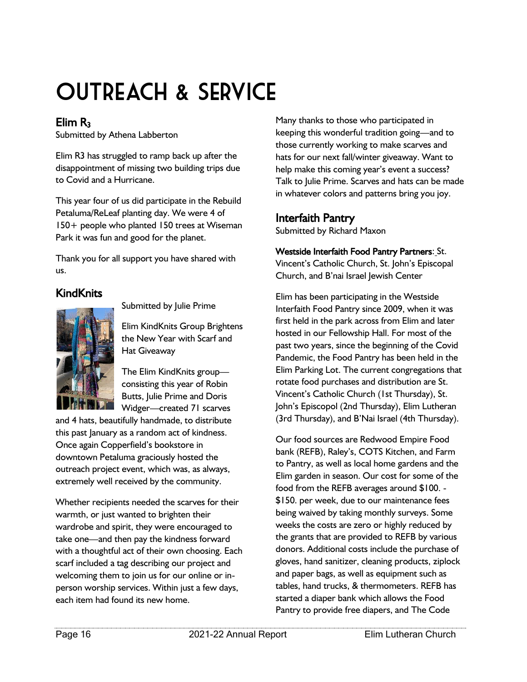# OUTREACH & SERVICE

#### Elim  $R_3$

Submitted by Athena Labberton

Elim R3 has struggled to ramp back up after the disappointment of missing two building trips due to Covid and a Hurricane.

This year four of us did participate in the Rebuild Petaluma/ReLeaf planting day. We were 4 of 150+ people who planted 150 trees at Wiseman Park it was fun and good for the planet.

Thank you for all support you have shared with us.

#### **KindKnits**



Submitted by Julie Prime

Elim KindKnits Group Brightens the New Year with Scarf and Hat Giveaway

The Elim KindKnits group consisting this year of Robin Butts, Julie Prime and Doris Widger—created 71 scarves

and 4 hats, beautifully handmade, to distribute this past January as a random act of kindness. Once again Copperfield's bookstore in downtown Petaluma graciously hosted the outreach project event, which was, as always, extremely well received by the community.

Whether recipients needed the scarves for their warmth, or just wanted to brighten their wardrobe and spirit, they were encouraged to take one—and then pay the kindness forward with a thoughtful act of their own choosing. Each scarf included a tag describing our project and welcoming them to join us for our online or inperson worship services. Within just a few days, each item had found its new home.

Many thanks to those who participated in keeping this wonderful tradition going—and to those currently working to make scarves and hats for our next fall/winter giveaway. Want to help make this coming year's event a success? Talk to Julie Prime. Scarves and hats can be made in whatever colors and patterns bring you joy.

#### Interfaith Pantry

Submitted by Richard Maxon

#### Westside Interfaith Food Pantry Partners: St.

Vincent's Catholic Church, St. John's Episcopal Church, and B'nai Israel Jewish Center

Elim has been participating in the Westside Interfaith Food Pantry since 2009, when it was first held in the park across from Elim and later hosted in our Fellowship Hall. For most of the past two years, since the beginning of the Covid Pandemic, the Food Pantry has been held in the Elim Parking Lot. The current congregations that rotate food purchases and distribution are St. Vincent's Catholic Church (1st Thursday), St. John's Episcopol (2nd Thursday), Elim Lutheran (3rd Thursday), and B'Nai Israel (4th Thursday).

Our food sources are Redwood Empire Food bank (REFB), Raley's, COTS Kitchen, and Farm to Pantry, as well as local home gardens and the Elim garden in season. Our cost for some of the food from the REFB averages around \$100. - \$150. per week, due to our maintenance fees being waived by taking monthly surveys. Some weeks the costs are zero or highly reduced by the grants that are provided to REFB by various donors. Additional costs include the purchase of gloves, hand sanitizer, cleaning products, ziplock and paper bags, as well as equipment such as tables, hand trucks, & thermometers. REFB has started a diaper bank which allows the Food Pantry to provide free diapers, and The Code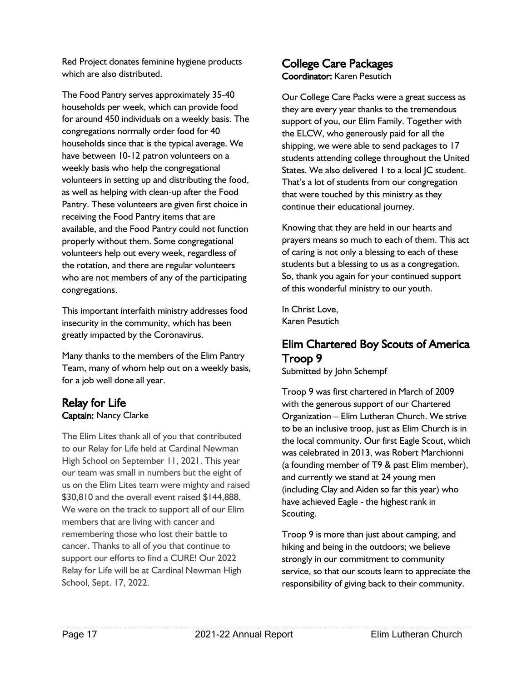Red Project donates feminine hygiene products which are also distributed.

The Food Pantry serves approximately 35-40 households per week, which can provide food for around 450 individuals on a weekly basis. The congregations normally order food for 40 households since that is the typical average. We have between 10-12 patron volunteers on a weekly basis who help the congregational volunteers in setting up and distributing the food, as well as helping with clean-up after the Food Pantry. These volunteers are given first choice in receiving the Food Pantry items that are available, and the Food Pantry could not function properly without them. Some congregational volunteers help out every week, regardless of the rotation, and there are regular volunteers who are not members of any of the participating congregations.

This important interfaith ministry addresses food insecurity in the community, which has been greatly impacted by the Coronavirus.

Many thanks to the members of the Elim Pantry Team, many of whom help out on a weekly basis, for a job well done all year.

#### Relay for Life Captain: Nancy Clarke

The Elim Lites thank all of you that contributed to our Relay for Life held at Cardinal Newman High School on September 11, 2021. This year our team was small in numbers but the eight of us on the Elim Lites team were mighty and raised \$30,810 and the overall event raised \$144,888. We were on the track to support all of our Elim members that are living with cancer and remembering those who lost their battle to cancer. Thanks to all of you that continue to support our efforts to find a CURE! Our 2022 Relay for Life will be at Cardinal Newman High School, Sept. 17, 2022.

#### College Care Packages Coordinator: Karen Pesutich

Our College Care Packs were a great success as they are every year thanks to the tremendous support of you, our Elim Family. Together with the ELCW, who generously paid for all the shipping, we were able to send packages to 17 students attending college throughout the United States. We also delivered 1 to a local JC student. That's a lot of students from our congregation that were touched by this ministry as they continue their educational journey.

Knowing that they are held in our hearts and prayers means so much to each of them. This act of caring is not only a blessing to each of these students but a blessing to us as a congregation. So, thank you again for your continued support of this wonderful ministry to our youth.

In Christ Love, Karen Pesutich

#### Elim Chartered Boy Scouts of America Troop 9

Submitted by John Schempf

Troop 9 was first chartered in March of 2009 with the generous support of our Chartered Organization – Elim Lutheran Church. We strive to be an inclusive troop, just as Elim Church is in the local community. Our first Eagle Scout, which was celebrated in 2013, was Robert Marchionni (a founding member of T9 & past Elim member), and currently we stand at 24 young men (including Clay and Aiden so far this year) who have achieved Eagle - the highest rank in Scouting.

Troop 9 is more than just about camping, and hiking and being in the outdoors; we believe strongly in our commitment to community service, so that our scouts learn to appreciate the responsibility of giving back to their community.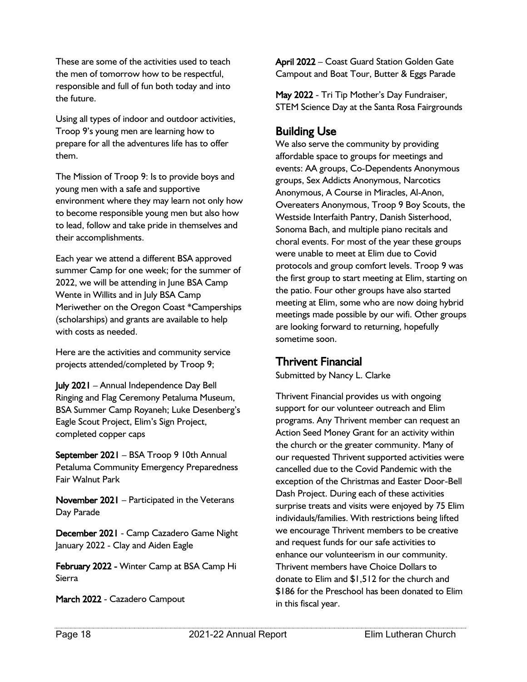These are some of the activities used to teach the men of tomorrow how to be respectful, responsible and full of fun both today and into the future.

Using all types of indoor and outdoor activities, Troop 9's young men are learning how to prepare for all the adventures life has to offer them.

The Mission of Troop 9: Is to provide boys and young men with a safe and supportive environment where they may learn not only how to become responsible young men but also how to lead, follow and take pride in themselves and their accomplishments.

Each year we attend a different BSA approved summer Camp for one week; for the summer of 2022, we will be attending in June BSA Camp Wente in Willits and in July BSA Camp Meriwether on the Oregon Coast \*Camperships (scholarships) and grants are available to help with costs as needed.

Here are the activities and community service projects attended/completed by Troop 9;

July 2021 – Annual Independence Day Bell Ringing and Flag Ceremony Petaluma Museum, BSA Summer Camp Royaneh; Luke Desenberg's Eagle Scout Project, Elim's Sign Project, completed copper caps

September 2021 – BSA Troop 9 10th Annual Petaluma Community Emergency Preparedness Fair Walnut Park

November 2021 – Participated in the Veterans Day Parade

December 2021 - Camp Cazadero Game Night January 2022 - Clay and Aiden Eagle

February 2022 - Winter Camp at BSA Camp Hi Sierra

March 2022 - Cazadero Campout

April 2022 – Coast Guard Station Golden Gate Campout and Boat Tour, Butter & Eggs Parade

May 2022 - Tri Tip Mother's Day Fundraiser, STEM Science Day at the Santa Rosa Fairgrounds

#### Building Use

We also serve the community by providing affordable space to groups for meetings and events: AA groups, Co-Dependents Anonymous groups, Sex Addicts Anonymous, Narcotics Anonymous, A Course in Miracles, Al-Anon, Overeaters Anonymous, Troop 9 Boy Scouts, the Westside Interfaith Pantry, Danish Sisterhood, Sonoma Bach, and multiple piano recitals and choral events. For most of the year these groups were unable to meet at Elim due to Covid protocols and group comfort levels. Troop 9 was the first group to start meeting at Elim, starting on the patio. Four other groups have also started meeting at Elim, some who are now doing hybrid meetings made possible by our wifi. Other groups are looking forward to returning, hopefully sometime soon.

#### Thrivent Financial

Submitted by Nancy L. Clarke

Thrivent Financial provides us with ongoing support for our volunteer outreach and Elim programs. Any Thrivent member can request an Action Seed Money Grant for an activity within the church or the greater community. Many of our requested Thrivent supported activities were cancelled due to the Covid Pandemic with the exception of the Christmas and Easter Door-Bell Dash Project. During each of these activities surprise treats and visits were enjoyed by 75 Elim individauls/families. With restrictions being lifted we encourage Thrivent members to be creative and request funds for our safe activities to enhance our volunteerism in our community. Thrivent members have Choice Dollars to donate to Elim and \$1,512 for the church and \$186 for the Preschool has been donated to Elim in this fiscal year.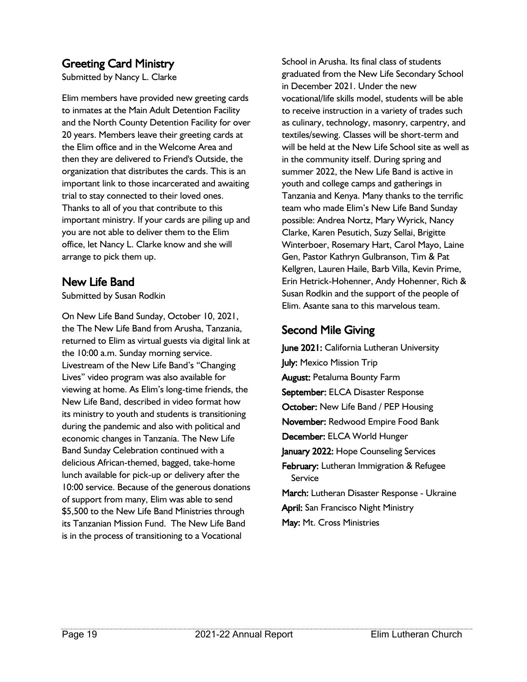#### Greeting Card Ministry

Submitted by Nancy L. Clarke

Elim members have provided new greeting cards to inmates at the Main Adult Detention Facility and the North County Detention Facility for over 20 years. Members leave their greeting cards at the Elim office and in the Welcome Area and then they are delivered to Friend's Outside, the organization that distributes the cards. This is an important link to those incarcerated and awaiting trial to stay connected to their loved ones. Thanks to all of you that contribute to this important ministry. If your cards are piling up and you are not able to deliver them to the Elim office, let Nancy L. Clarke know and she will arrange to pick them up.

#### New Life Band

Submitted by Susan Rodkin

On New Life Band Sunday, October 10, 2021, the The New Life Band from Arusha, Tanzania, returned to Elim as virtual guests via digital link at the 10:00 a.m. Sunday morning service. Livestream of the New Life Band's "Changing Lives" video program was also available for viewing at home. As Elim's long-time friends, the New Life Band, described in video format how its ministry to youth and students is transitioning during the pandemic and also with political and economic changes in Tanzania. The New Life Band Sunday Celebration continued with a delicious African-themed, bagged, take-home lunch available for pick-up or delivery after the 10:00 service. Because of the generous donations of support from many, Elim was able to send \$5,500 to the New Life Band Ministries through its Tanzanian Mission Fund. The New Life Band is in the process of transitioning to a Vocational

School in Arusha. Its final class of students graduated from the New Life Secondary School in December 2021. Under the new vocational/life skills model, students will be able to receive instruction in a variety of trades such as culinary, technology, masonry, carpentry, and textiles/sewing. Classes will be short-term and will be held at the New Life School site as well as in the community itself. During spring and summer 2022, the New Life Band is active in youth and college camps and gatherings in Tanzania and Kenya. Many thanks to the terrific team who made Elim's New Life Band Sunday possible: Andrea Nortz, Mary Wyrick, Nancy Clarke, Karen Pesutich, Suzy Sellai, Brigitte Winterboer, Rosemary Hart, Carol Mayo, Laine Gen, Pastor Kathryn Gulbranson, Tim & Pat Kellgren, Lauren Haile, Barb Villa, Kevin Prime, Erin Hetrick-Hohenner, Andy Hohenner, Rich & Susan Rodkin and the support of the people of Elim. Asante sana to this marvelous team.

#### Second Mile Giving

June 2021: California Lutheran University July: Mexico Mission Trip August: Petaluma Bounty Farm September: ELCA Disaster Response October: New Life Band / PEP Housing November: Redwood Empire Food Bank December: ELCA World Hunger January 2022: Hope Counseling Services February: Lutheran Immigration & Refugee Service March: Lutheran Disaster Response - Ukraine April: San Francisco Night Ministry May: Mt. Cross Ministries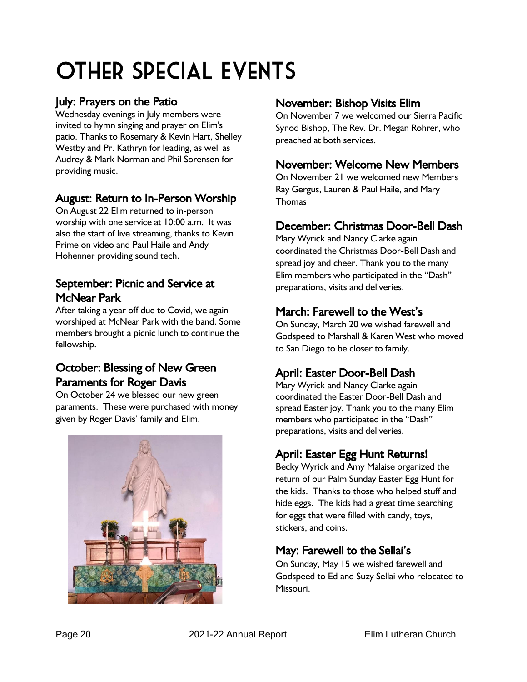# Other Special Events

#### July: Prayers on the Patio

Wednesday evenings in July members were invited to hymn singing and prayer on Elim's patio. Thanks to Rosemary & Kevin Hart, Shelley Westby and Pr. Kathryn for leading, as well as Audrey & Mark Norman and Phil Sorensen for providing music.

#### August: Return to In-Person Worship

On August 22 Elim returned to in-person worship with one service at 10:00 a.m. It was also the start of live streaming, thanks to Kevin Prime on video and Paul Haile and Andy Hohenner providing sound tech.

#### September: Picnic and Service at McNear Park

After taking a year off due to Covid, we again worshiped at McNear Park with the band. Some members brought a picnic lunch to continue the fellowship.

#### October: Blessing of New Green Paraments for Roger Davis

On October 24 we blessed our new green paraments. These were purchased with money given by Roger Davis' family and Elim.



#### November: Bishop Visits Elim

On November 7 we welcomed our Sierra Pacific Synod Bishop, The Rev. Dr. Megan Rohrer, who preached at both services.

#### November: Welcome New Members

On November 21 we welcomed new Members Ray Gergus, Lauren & Paul Haile, and Mary **Thomas** 

#### December: Christmas Door-Bell Dash

Mary Wyrick and Nancy Clarke again coordinated the Christmas Door-Bell Dash and spread joy and cheer. Thank you to the many Elim members who participated in the "Dash" preparations, visits and deliveries.

#### March: Farewell to the West's

On Sunday, March 20 we wished farewell and Godspeed to Marshall & Karen West who moved to San Diego to be closer to family.

#### April: Easter Door-Bell Dash

Mary Wyrick and Nancy Clarke again coordinated the Easter Door-Bell Dash and spread Easter joy. Thank you to the many Elim members who participated in the "Dash" preparations, visits and deliveries.

#### April: Easter Egg Hunt Returns!

Becky Wyrick and Amy Malaise organized the return of our Palm Sunday Easter Egg Hunt for the kids. Thanks to those who helped stuff and hide eggs. The kids had a great time searching for eggs that were filled with candy, toys, stickers, and coins.

#### May: Farewell to the Sellai's

On Sunday, May 15 we wished farewell and Godspeed to Ed and Suzy Sellai who relocated to Missouri.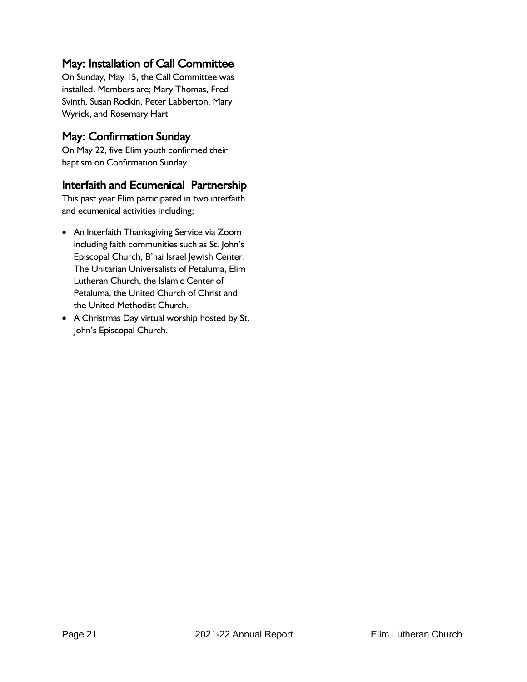#### May: Installation of Call Committee

On Sunday, May 15, the Call Committee was installed. Members are; Mary Thomas, Fred Svinth, Susan Rodkin, Peter Labberton, Mary Wyrick, and Rosemary Hart

#### May: Confirmation Sunday

On May 22, five Elim youth confirmed their baptism on Confirmation Sunday.

#### Interfaith and Ecumenical Partnership

This past year Elim participated in two interfaith and ecumenical activities including;

- An Interfaith Thanksgiving Service via Zoom including faith communities such as St. John's Episcopal Church, B'nai Israel Jewish Center, The Unitarian Universalists of Petaluma, Elim Lutheran Church, the Islamic Center of Petaluma, the United Church of Christ and the United Methodist Church.
- A Christmas Day virtual worship hosted by St. John's Episcopal Church.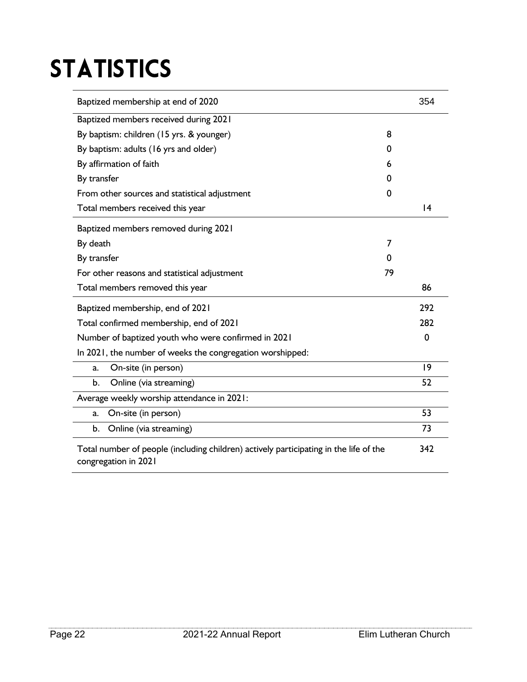# **STATISTICS**

| Baptized membership at end of 2020                                                                            |    | 354         |
|---------------------------------------------------------------------------------------------------------------|----|-------------|
| Baptized members received during 2021                                                                         |    |             |
| By baptism: children (15 yrs. & younger)                                                                      | 8  |             |
| By baptism: adults (16 yrs and older)                                                                         | 0  |             |
| By affirmation of faith                                                                                       | 6  |             |
| By transfer                                                                                                   | 0  |             |
| From other sources and statistical adjustment                                                                 | 0  |             |
| Total members received this year                                                                              |    | 4           |
| Baptized members removed during 2021                                                                          |    |             |
| By death                                                                                                      | 7  |             |
| By transfer                                                                                                   | 0  |             |
| For other reasons and statistical adjustment                                                                  | 79 |             |
| Total members removed this year                                                                               |    | 86          |
| Baptized membership, end of 2021                                                                              |    | 292         |
| Total confirmed membership, end of 2021                                                                       |    | 282         |
| Number of baptized youth who were confirmed in 2021                                                           |    | $\mathbf 0$ |
| In 2021, the number of weeks the congregation worshipped:                                                     |    |             |
| On-site (in person)<br>a.                                                                                     |    | 9           |
| Online (via streaming)<br>b.                                                                                  |    | 52          |
| Average weekly worship attendance in 2021:                                                                    |    |             |
| On-site (in person)<br>a.                                                                                     |    | 53          |
| Online (via streaming)<br>b.                                                                                  |    | 73          |
| Total number of people (including children) actively participating in the life of the<br>congregation in 2021 |    |             |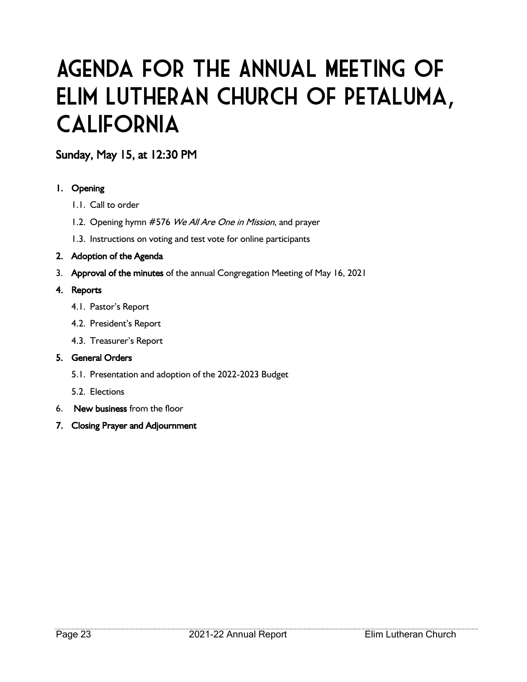### Agenda for the Annual Meeting of Elim Lutheran Church of Petaluma, **CALIFORNIA**

#### Sunday, May 15, at 12:30 PM

#### 1. Opening

- 1.1. Call to order
- 1.2. Opening hymn #576 We All Are One in Mission, and prayer
- 1.3. Instructions on voting and test vote for online participants

#### 2. Adoption of the Agenda

3. Approval of the minutes of the annual Congregation Meeting of May 16, 2021

#### 4. Reports

- 4.1. Pastor's Report
- 4.2. President's Report
- 4.3. Treasurer's Report

#### 5. General Orders

- 5.1. Presentation and adoption of the 2022-2023 Budget
- 5.2. Elections
- 6. New business from the floor
- 7. Closing Prayer and Adjournment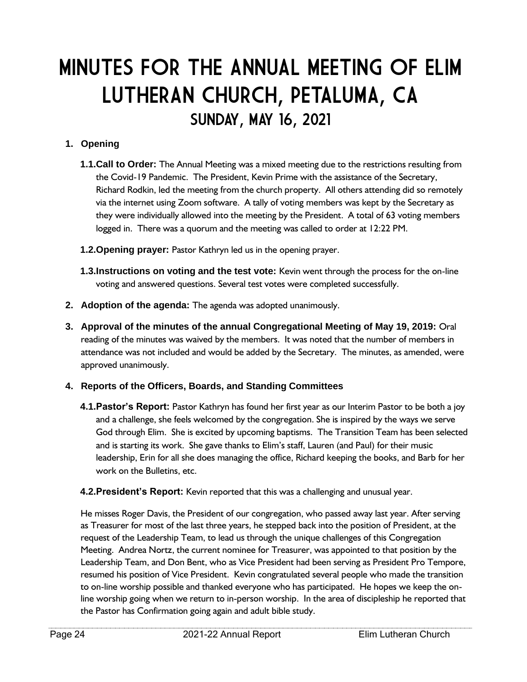### MINUTES FOR THE ANNUAL MEETING OF ELIM LUTHERAN CHURCH, PETALUMA, CA SUNDAY, MAY 16, 2021

#### **1. Opening**

- **1.1.Call to Order:** The Annual Meeting was a mixed meeting due to the restrictions resulting from the Covid-19 Pandemic. The President, Kevin Prime with the assistance of the Secretary, Richard Rodkin, led the meeting from the church property. All others attending did so remotely via the internet using Zoom software. A tally of voting members was kept by the Secretary as they were individually allowed into the meeting by the President. A total of 63 voting members logged in. There was a quorum and the meeting was called to order at 12:22 PM.
- **1.2.Opening prayer:** Pastor Kathryn led us in the opening prayer.
- **1.3.Instructions on voting and the test vote:** Kevin went through the process for the on-line voting and answered questions. Several test votes were completed successfully.
- **2. Adoption of the agenda:** The agenda was adopted unanimously.
- **3. Approval of the minutes of the annual Congregational Meeting of May 19, 2019:** Oral reading of the minutes was waived by the members. It was noted that the number of members in attendance was not included and would be added by the Secretary. The minutes, as amended, were approved unanimously.

#### **4. Reports of the Officers, Boards, and Standing Committees**

- **4.1.Pastor's Report:** Pastor Kathryn has found her first year as our Interim Pastor to be both a joy and a challenge, she feels welcomed by the congregation. She is inspired by the ways we serve God through Elim. She is excited by upcoming baptisms. The Transition Team has been selected and is starting its work. She gave thanks to Elim's staff, Lauren (and Paul) for their music leadership, Erin for all she does managing the office, Richard keeping the books, and Barb for her work on the Bulletins, etc.
- **4.2.President's Report:** Kevin reported that this was a challenging and unusual year.

He misses Roger Davis, the President of our congregation, who passed away last year. After serving as Treasurer for most of the last three years, he stepped back into the position of President, at the request of the Leadership Team, to lead us through the unique challenges of this Congregation Meeting. Andrea Nortz, the current nominee for Treasurer, was appointed to that position by the Leadership Team, and Don Bent, who as Vice President had been serving as President Pro Tempore, resumed his position of Vice President. Kevin congratulated several people who made the transition to on-line worship possible and thanked everyone who has participated. He hopes we keep the online worship going when we return to in-person worship. In the area of discipleship he reported that the Pastor has Confirmation going again and adult bible study.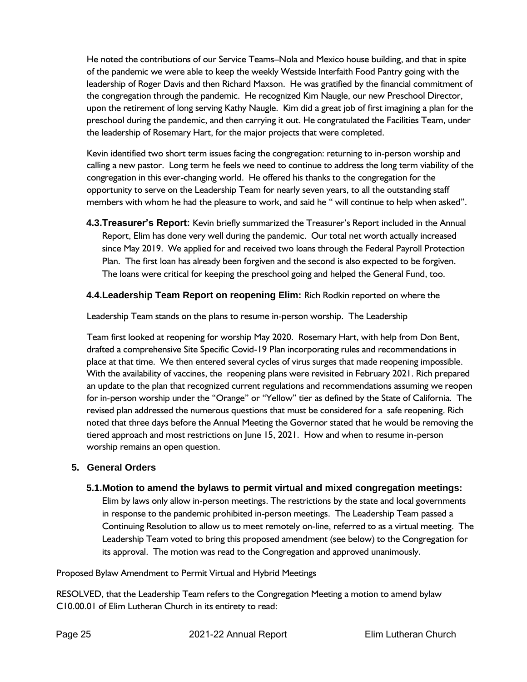He noted the contributions of our Service Teams–Nola and Mexico house building, and that in spite of the pandemic we were able to keep the weekly Westside Interfaith Food Pantry going with the leadership of Roger Davis and then Richard Maxson. He was gratified by the financial commitment of the congregation through the pandemic. He recognized Kim Naugle, our new Preschool Director, upon the retirement of long serving Kathy Naugle. Kim did a great job of first imagining a plan for the preschool during the pandemic, and then carrying it out. He congratulated the Facilities Team, under the leadership of Rosemary Hart, for the major projects that were completed.

Kevin identified two short term issues facing the congregation: returning to in-person worship and calling a new pastor. Long term he feels we need to continue to address the long term viability of the congregation in this ever-changing world. He offered his thanks to the congregation for the opportunity to serve on the Leadership Team for nearly seven years, to all the outstanding staff members with whom he had the pleasure to work, and said he " will continue to help when asked".

**4.3.Treasurer's Report:** Kevin briefly summarized the Treasurer's Report included in the Annual Report, Elim has done very well during the pandemic. Our total net worth actually increased since May 2019. We applied for and received two loans through the Federal Payroll Protection Plan. The first loan has already been forgiven and the second is also expected to be forgiven. The loans were critical for keeping the preschool going and helped the General Fund, too.

#### **4.4.Leadership Team Report on reopening Elim:** Rich Rodkin reported on where the

Leadership Team stands on the plans to resume in-person worship. The Leadership

Team first looked at reopening for worship May 2020. Rosemary Hart, with help from Don Bent, drafted a comprehensive Site Specific Covid-19 Plan incorporating rules and recommendations in place at that time. We then entered several cycles of virus surges that made reopening impossible. With the availability of vaccines, the reopening plans were revisited in February 2021. Rich prepared an update to the plan that recognized current regulations and recommendations assuming we reopen for in-person worship under the "Orange" or "Yellow" tier as defined by the State of California. The revised plan addressed the numerous questions that must be considered for a safe reopening. Rich noted that three days before the Annual Meeting the Governor stated that he would be removing the tiered approach and most restrictions on June 15, 2021. How and when to resume in-person worship remains an open question.

#### **5. General Orders**

#### **5.1.Motion to amend the bylaws to permit virtual and mixed congregation meetings:**

Elim by laws only allow in-person meetings. The restrictions by the state and local governments in response to the pandemic prohibited in-person meetings. The Leadership Team passed a Continuing Resolution to allow us to meet remotely on-line, referred to as a virtual meeting. The Leadership Team voted to bring this proposed amendment (see below) to the Congregation for its approval. The motion was read to the Congregation and approved unanimously.

Proposed Bylaw Amendment to Permit Virtual and Hybrid Meetings

RESOLVED, that the Leadership Team refers to the Congregation Meeting a motion to amend bylaw C10.00.01 of Elim Lutheran Church in its entirety to read: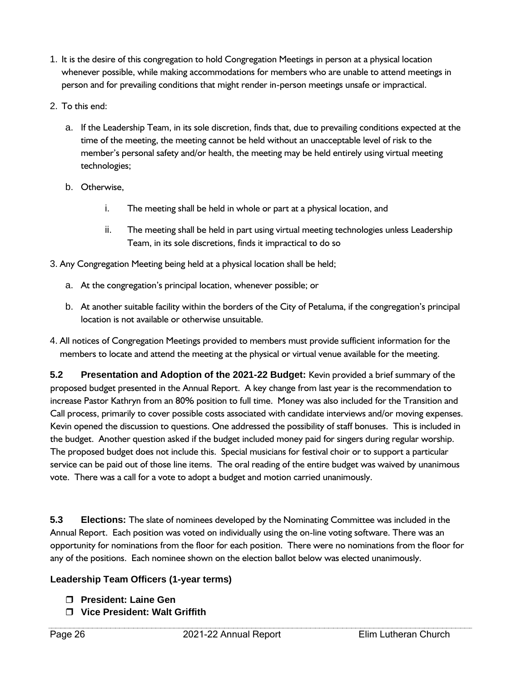- 1. It is the desire of this congregation to hold Congregation Meetings in person at a physical location whenever possible, while making accommodations for members who are unable to attend meetings in person and for prevailing conditions that might render in-person meetings unsafe or impractical.
- 2. To this end:
	- a. If the Leadership Team, in its sole discretion, finds that, due to prevailing conditions expected at the time of the meeting, the meeting cannot be held without an unacceptable level of risk to the member's personal safety and/or health, the meeting may be held entirely using virtual meeting technologies;
	- b. Otherwise,
		- i. The meeting shall be held in whole or part at a physical location, and
		- ii. The meeting shall be held in part using virtual meeting technologies unless Leadership Team, in its sole discretions, finds it impractical to do so
- 3. Any Congregation Meeting being held at a physical location shall be held;
	- a. At the congregation's principal location, whenever possible; or
	- b. At another suitable facility within the borders of the City of Petaluma, if the congregation's principal location is not available or otherwise unsuitable.
- 4. All notices of Congregation Meetings provided to members must provide sufficient information for the members to locate and attend the meeting at the physical or virtual venue available for the meeting.

**5.2 Presentation and Adoption of the 2021-22 Budget:** Kevin provided a brief summary of the proposed budget presented in the Annual Report. A key change from last year is the recommendation to increase Pastor Kathryn from an 80% position to full time. Money was also included for the Transition and Call process, primarily to cover possible costs associated with candidate interviews and/or moving expenses. Kevin opened the discussion to questions. One addressed the possibility of staff bonuses. This is included in the budget. Another question asked if the budget included money paid for singers during regular worship. The proposed budget does not include this. Special musicians for festival choir or to support a particular service can be paid out of those line items. The oral reading of the entire budget was waived by unanimous vote. There was a call for a vote to adopt a budget and motion carried unanimously.

**5.3 Elections:** The slate of nominees developed by the Nominating Committee was included in the Annual Report. Each position was voted on individually using the on-line voting software. There was an opportunity for nominations from the floor for each position. There were no nominations from the floor for any of the positions. Each nominee shown on the election ballot below was elected unanimously.

#### **Leadership Team Officers (1-year terms)**

- **President: Laine Gen**
- **Vice President: Walt Griffith**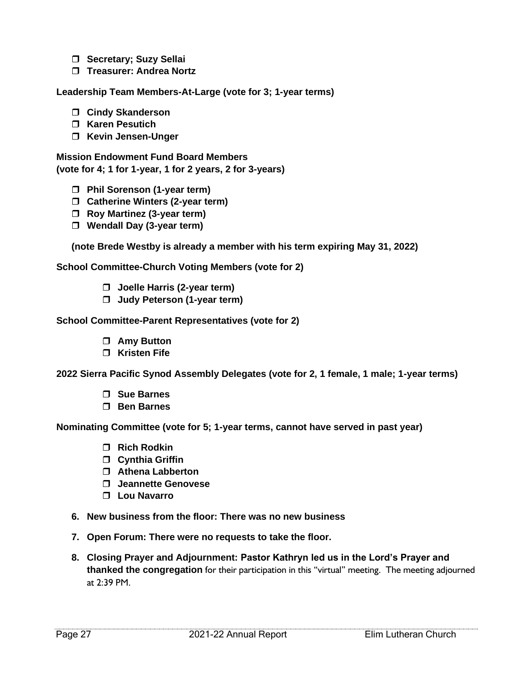- **Secretary**; Suzy Sellai
- **Treasurer: Andrea Nortz**

**Leadership Team Members-At-Large (vote for 3; 1-year terms)**

- **Cindy Skanderson**
- **Karen Pesutich**
- **Kevin Jensen-Unger**

**Mission Endowment Fund Board Members (vote for 4; 1 for 1-year, 1 for 2 years, 2 for 3-years)**

- **Phil Sorenson (1-year term)**
- **Catherine Winters (2-year term)**
- **Roy Martinez (3-year term)**
- **Wendall Day (3-year term)**

**(note Brede Westby is already a member with his term expiring May 31, 2022)**

**School Committee-Church Voting Members (vote for 2)**

- **Joelle Harris (2-year term)**
- **Judy Peterson (1-year term)**

**School Committee-Parent Representatives (vote for 2)**

- **Amy Button**
- **Kristen Fife**

**2022 Sierra Pacific Synod Assembly Delegates (vote for 2, 1 female, 1 male; 1-year terms)**

- **Sue Barnes**
- **Ben Barnes**

**Nominating Committee (vote for 5; 1-year terms, cannot have served in past year)**

- **Rich Rodkin**
- **Cynthia Griffin**
- **Athena Labberton**
- **Jeannette Genovese**
- **Lou Navarro**
- **6. New business from the floor: There was no new business**
- **7. Open Forum: There were no requests to take the floor.**
- **8. Closing Prayer and Adjournment: Pastor Kathryn led us in the Lord's Prayer and thanked the congregation** for their participation in this "virtual" meeting. The meeting adjourned at 2:39 PM.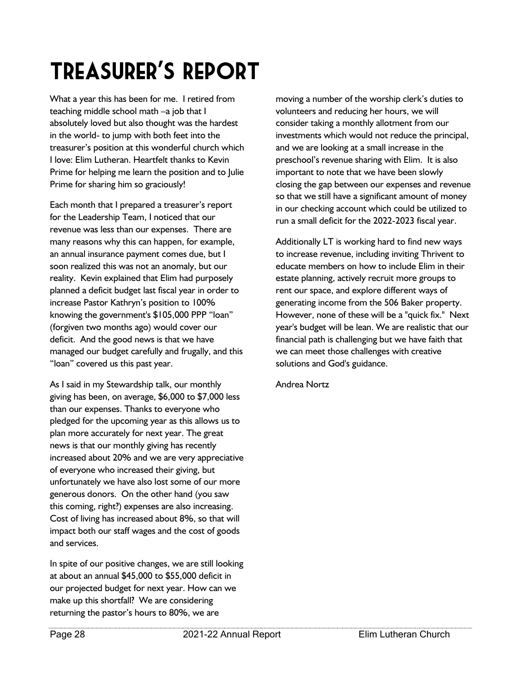### Treasurer's Report…

What a year this has been for me. I retired from teaching middle school math –a job that I absolutely loved but also thought was the hardest in the world- to jump with both feet into the treasurer's position at this wonderful church which I love: Elim Lutheran. Heartfelt thanks to Kevin Prime for helping me learn the position and to Julie Prime for sharing him so graciously!

Each month that I prepared a treasurer's report for the Leadership Team, I noticed that our revenue was less than our expenses. There are many reasons why this can happen, for example, an annual insurance payment comes due, but I soon realized this was not an anomaly, but our reality. Kevin explained that Elim had purposely planned a deficit budget last fiscal year in order to increase Pastor Kathryn's position to 100% knowing the government's \$105,000 PPP "loan" (forgiven two months ago) would cover our deficit. And the good news is that we have managed our budget carefully and frugally, and this "loan" covered us this past year.

As I said in my Stewardship talk, our monthly giving has been, on average, \$6,000 to \$7,000 less than our expenses. Thanks to everyone who pledged for the upcoming year as this allows us to plan more accurately for next year. The great news is that our monthly giving has recently increased about 20% and we are very appreciative of everyone who increased their giving, but unfortunately we have also lost some of our more generous donors. On the other hand (you saw this coming, right?) expenses are also increasing. Cost of living has increased about 8%, so that will impact both our staff wages and the cost of goods and services.

In spite of our positive changes, we are still looking at about an annual \$45,000 to \$55,000 deficit in our projected budget for next year. How can we make up this shortfall? We are considering returning the pastor's hours to 80%, we are

moving a number of the worship clerk's duties to volunteers and reducing her hours, we will consider taking a monthly allotment from our investments which would not reduce the principal, and we are looking at a small increase in the preschool's revenue sharing with Elim. It is also important to note that we have been slowly closing the gap between our expenses and revenue so that we still have a significant amount of money in our checking account which could be utilized to run a small deficit for the 2022-2023 fiscal year.

Additionally LT is working hard to find new ways to increase revenue, including inviting Thrivent to educate members on how to include Elim in their estate planning, actively recruit more groups to rent our space, and explore different ways of generating income from the 506 Baker property. However, none of these will be a "quick fix." Next year's budget will be lean. We are realistic that our financial path is challenging but we have faith that we can meet those challenges with creative solutions and God's guidance.

Andrea Nortz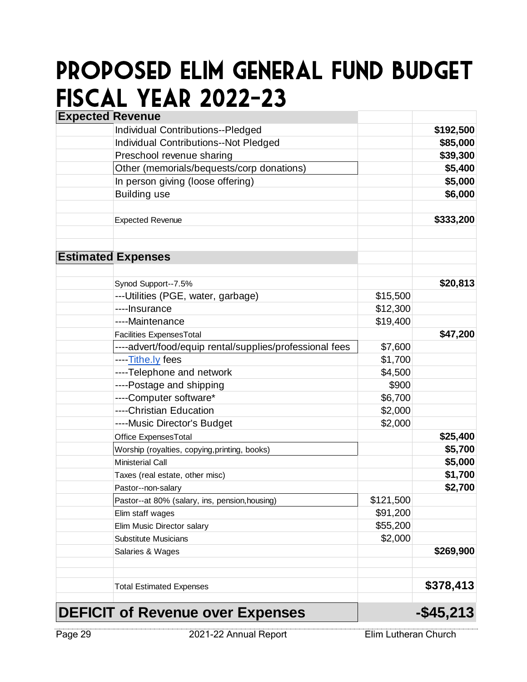### Proposed Elim General Fund Budget Fiscal Year 2022-23

| <b>Expected Revenue</b> |                                                         |           |              |
|-------------------------|---------------------------------------------------------|-----------|--------------|
|                         | <b>Individual Contributions--Pledged</b>                |           | \$192,500    |
|                         | <b>Individual Contributions--Not Pledged</b>            |           | \$85,000     |
|                         | Preschool revenue sharing                               |           | \$39,300     |
|                         | Other (memorials/bequests/corp donations)               |           | \$5,400      |
|                         | In person giving (loose offering)                       |           | \$5,000      |
|                         | <b>Building use</b>                                     |           | \$6,000      |
|                         | <b>Expected Revenue</b>                                 |           | \$333,200    |
|                         | <b>Estimated Expenses</b>                               |           |              |
|                         | Synod Support--7.5%                                     |           | \$20,813     |
|                         | --- Utilities (PGE, water, garbage)                     | \$15,500  |              |
|                         | ----Insurance                                           | \$12,300  |              |
|                         | ----Maintenance                                         | \$19,400  |              |
|                         | Facilities ExpensesTotal                                |           | \$47,200     |
|                         | ----advert/food/equip rental/supplies/professional fees | \$7,600   |              |
|                         | ----Tithe.ly fees                                       | \$1,700   |              |
|                         | ----Telephone and network                               | \$4,500   |              |
|                         | ----Postage and shipping                                | \$900     |              |
|                         | ----Computer software*                                  | \$6,700   |              |
|                         | ----Christian Education                                 | \$2,000   |              |
|                         | ----Music Director's Budget                             | \$2,000   |              |
|                         | Office ExpensesTotal                                    |           | \$25,400     |
|                         | Worship (royalties, copying, printing, books)           |           | \$5,700      |
|                         | <b>Ministerial Call</b>                                 |           | \$5,000      |
|                         | Taxes (real estate, other misc)                         |           | \$1,700      |
|                         | Pastor--non-salary                                      |           | \$2,700      |
|                         | Pastor--at 80% (salary, ins, pension, housing)          | \$121,500 |              |
|                         | Elim staff wages                                        | \$91,200  |              |
|                         | Elim Music Director salary                              | \$55,200  |              |
|                         | <b>Substitute Musicians</b>                             | \$2,000   |              |
|                         | Salaries & Wages                                        |           | \$269,900    |
|                         | <b>Total Estimated Expenses</b>                         |           | \$378,413    |
|                         | <b>DEFICIT of Revenue over Expenses</b>                 |           | $-$ \$45,213 |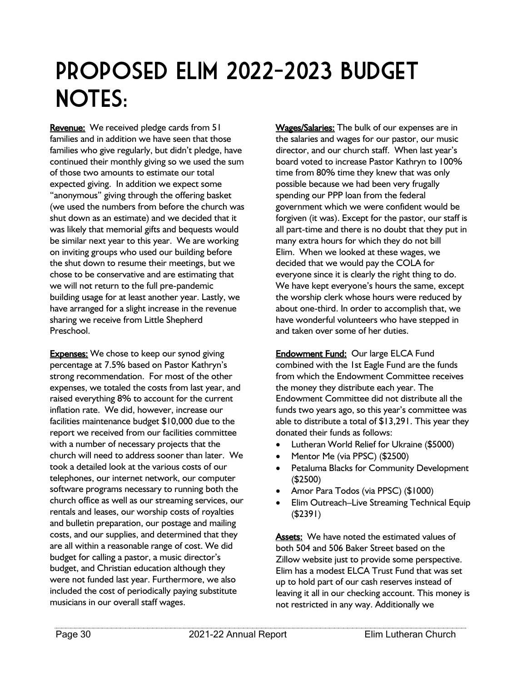### Proposed Elim 2022-2023 Budget NOTES:

Revenue: We received pledge cards from 51 families and in addition we have seen that those families who give regularly, but didn't pledge, have continued their monthly giving so we used the sum of those two amounts to estimate our total expected giving. In addition we expect some "anonymous" giving through the offering basket (we used the numbers from before the church was shut down as an estimate) and we decided that it was likely that memorial gifts and bequests would be similar next year to this year. We are working on inviting groups who used our building before the shut down to resume their meetings, but we chose to be conservative and are estimating that we will not return to the full pre-pandemic building usage for at least another year. Lastly, we have arranged for a slight increase in the revenue sharing we receive from Little Shepherd Preschool.

**Expenses:** We chose to keep our synod giving percentage at 7.5% based on Pastor Kathryn's strong recommendation. For most of the other expenses, we totaled the costs from last year, and raised everything 8% to account for the current inflation rate. We did, however, increase our facilities maintenance budget \$10,000 due to the report we received from our facilities committee with a number of necessary projects that the church will need to address sooner than later. We took a detailed look at the various costs of our telephones, our internet network, our computer software programs necessary to running both the church office as well as our streaming services, our rentals and leases, our worship costs of royalties and bulletin preparation, our postage and mailing costs, and our supplies, and determined that they are all within a reasonable range of cost. We did budget for calling a pastor, a music director's budget, and Christian education although they were not funded last year. Furthermore, we also included the cost of periodically paying substitute musicians in our overall staff wages.

Wages/Salaries: The bulk of our expenses are in the salaries and wages for our pastor, our music director, and our church staff. When last year's board voted to increase Pastor Kathryn to 100% time from 80% time they knew that was only possible because we had been very frugally spending our PPP loan from the federal government which we were confident would be forgiven (it was). Except for the pastor, our staff is all part-time and there is no doubt that they put in many extra hours for which they do not bill Elim. When we looked at these wages, we decided that we would pay the COLA for everyone since it is clearly the right thing to do. We have kept everyone's hours the same, except the worship clerk whose hours were reduced by about one-third. In order to accomplish that, we have wonderful volunteers who have stepped in and taken over some of her duties.

**Endowment Fund: Our large ELCA Fund** combined with the 1st Eagle Fund are the funds from which the Endowment Committee receives the money they distribute each year. The Endowment Committee did not distribute all the funds two years ago, so this year's committee was able to distribute a total of \$13,291. This year they donated their funds as follows:

- Lutheran World Relief for Ukraine (\$5000)
- Mentor Me (via PPSC) (\$2500)
- Petaluma Blacks for Community Development (\$2500)
- Amor Para Todos (via PPSC) (\$1000)
- Elim Outreach–Live Streaming Technical Equip (\$2391)

Assets: We have noted the estimated values of both 504 and 506 Baker Street based on the Zillow website just to provide some perspective. Elim has a modest ELCA Trust Fund that was set up to hold part of our cash reserves instead of leaving it all in our checking account. This money is not restricted in any way. Additionally we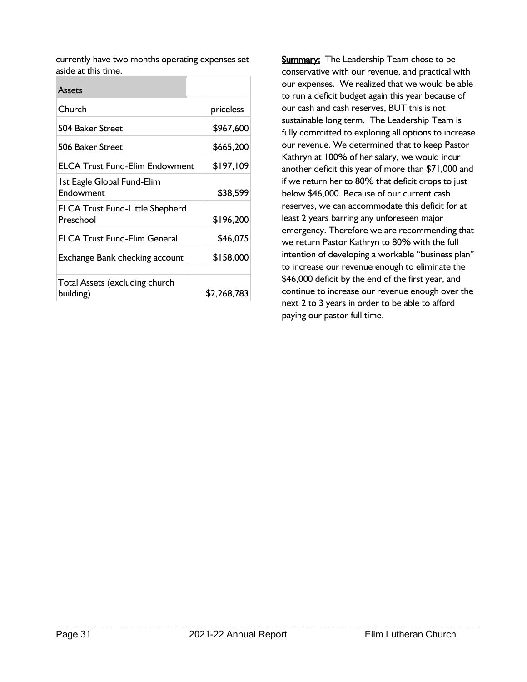currently have two months operating expenses set aside at this time.

| <b>Assets</b>                                       |             |
|-----------------------------------------------------|-------------|
| Church                                              | priceless   |
| 504 Baker Street                                    | \$967,600   |
| 506 Baker Street                                    | \$665,200   |
| <b>ELCA Trust Fund-Elim Endowment</b>               | \$197,109   |
| 1st Eagle Global Fund-Elim<br>Endowment             | \$38,599    |
| <b>ELCA Trust Fund-Little Shepherd</b><br>Preschool | \$196,200   |
| <b>ELCA Trust Fund-Elim General</b>                 | \$46,075    |
| Exchange Bank checking account                      | \$158,000   |
| Total Assets (excluding church<br>building)         | \$2,268,783 |

**Summary:** The Leadership Team chose to be conservative with our revenue, and practical with our expenses. We realized that we would be able to run a deficit budget again this year because of our cash and cash reserves, BUT this is not sustainable long term. The Leadership Team is fully committed to exploring all options to increase our revenue. We determined that to keep Pastor Kathryn at 100% of her salary, we would incur another deficit this year of more than \$71,000 and if we return her to 80% that deficit drops to just below \$46,000. Because of our current cash reserves, we can accommodate this deficit for at least 2 years barring any unforeseen major emergency. Therefore we are recommending that we return Pastor Kathryn to 80% with the full intention of developing a workable "business plan" to increase our revenue enough to eliminate the \$46,000 deficit by the end of the first year, and continue to increase our revenue enough over the next 2 to 3 years in order to be able to afford paying our pastor full time.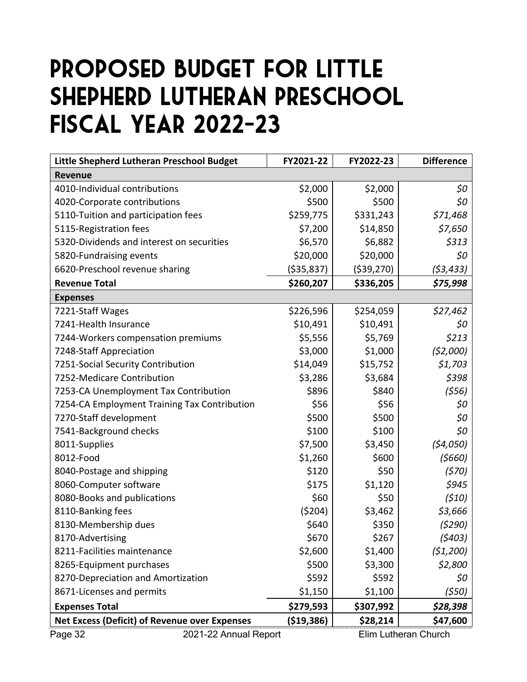### Proposed Budget for Little Shepherd Lutheran Preschool Fiscal Year 2022-23

| Little Shepherd Lutheran Preschool Budget                                        | FY2021-22    | FY2022-23    | <b>Difference</b>    |
|----------------------------------------------------------------------------------|--------------|--------------|----------------------|
| <b>Revenue</b>                                                                   |              |              |                      |
| 4010-Individual contributions                                                    | \$2,000      | \$2,000      | \$0                  |
| 4020-Corporate contributions                                                     | \$500        | \$500        | \$0                  |
| 5110-Tuition and participation fees                                              | \$259,775    | \$331,243    | \$71,468             |
| 5115-Registration fees                                                           | \$7,200      | \$14,850     | \$7,650              |
| 5320-Dividends and interest on securities                                        | \$6,570      | \$6,882      | \$313                |
| 5820-Fundraising events                                                          | \$20,000     | \$20,000     | \$0                  |
| 6620-Preschool revenue sharing                                                   | ( \$35, 837) | ( \$39, 270) | (\$3,433)            |
| <b>Revenue Total</b>                                                             | \$260,207    | \$336,205    | \$75,998             |
| <b>Expenses</b>                                                                  |              |              |                      |
| 7221-Staff Wages                                                                 | \$226,596    | \$254,059    | \$27,462             |
| 7241-Health Insurance                                                            | \$10,491     | \$10,491     | \$0                  |
| 7244-Workers compensation premiums                                               | \$5,556      | \$5,769      | \$213                |
| 7248-Staff Appreciation                                                          | \$3,000      | \$1,000      | (52,000)             |
| 7251-Social Security Contribution                                                | \$14,049     | \$15,752     | \$1,703              |
| 7252-Medicare Contribution                                                       | \$3,286      | \$3,684      | \$398                |
| 7253-CA Unemployment Tax Contribution                                            | \$896        | \$840        | (556)                |
| 7254-CA Employment Training Tax Contribution                                     | \$56         | \$56         | \$0                  |
| 7270-Staff development                                                           | \$500        | \$500        | \$0                  |
| 7541-Background checks                                                           | \$100        | \$100        | \$0                  |
| 8011-Supplies                                                                    | \$7,500      | \$3,450      | (54,050)             |
| 8012-Food                                                                        | \$1,260      | \$600        | (5660)               |
| 8040-Postage and shipping                                                        | \$120        | \$50         | (570)                |
| 8060-Computer software                                                           | \$175        | \$1,120      | \$945                |
| 8080-Books and publications                                                      | \$60         | \$50         | (510)                |
| 8110-Banking fees                                                                | (5204)       | \$3,462      | \$3,666              |
| 8130-Membership dues                                                             | \$640        | \$350        | (5290)               |
| 8170-Advertising                                                                 | \$670        | \$267        | (5403)               |
| 8211-Facilities maintenance                                                      | \$2,600      | \$1,400      | (51, 200)            |
| 8265-Equipment purchases                                                         | \$500        | \$3,300      | \$2,800              |
| 8270-Depreciation and Amortization                                               | \$592        | \$592        | \$0                  |
| 8671-Licenses and permits                                                        | \$1,150      | \$1,100      | (550)                |
| <b>Expenses Total</b>                                                            | \$279,593    | \$307,992    | \$28,398             |
| ( \$19, 386)<br><b>Net Excess (Deficit) of Revenue over Expenses</b><br>\$28,214 |              |              |                      |
| Page 32<br>2021-22 Annual Report                                                 |              |              | Elim Lutheran Church |